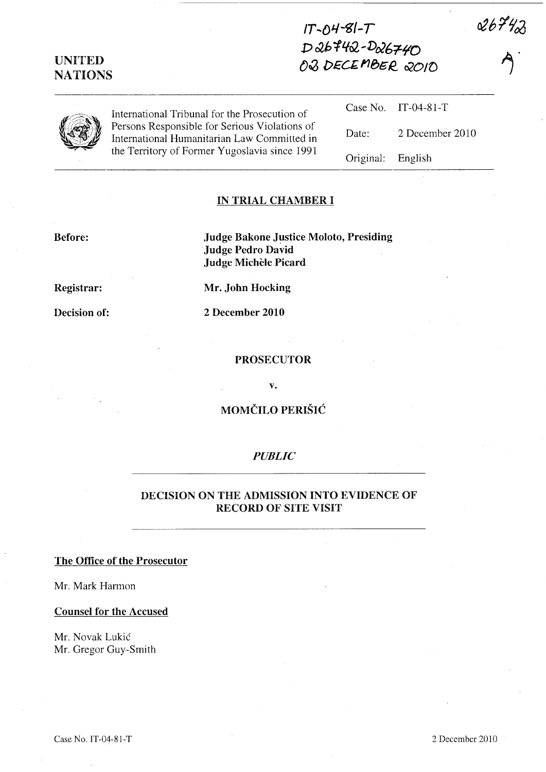# $IT - O4 - 8I - T$ D 26742-D26740 02 DECEMBER 2010

Original: English

 $\blacktriangleleft$ 

 $26742$ 

| International Tribunal for the Prosecution of                                                | Case No. IT-04-81-T   |
|----------------------------------------------------------------------------------------------|-----------------------|
| Persons Responsible for Serious Violations of<br>International Humanitarian Law Committed in | Date: 2 December 2010 |
| the Territory of Former Yugoslavia since 1991                                                |                       |

IN TRIAL CHAMBER I

#### Before:

UNITED NATIONS

> Judge Bakone Justice Moloto, Presiding Judge Pedro David Judge Michele Picard

Registrar:

Decision of:

Mr. John Hocking 2 December 2010

#### PROSECUTOR

v.

### MOMČILO PERIŠIĆ

#### *PUBLIC*

#### DECISION ON THE ADMISSION INTO EVIDENCE OF RECORD OF SITE VISIT

#### The Office of the Prosecutor

Mr. Mark Harmon

Counsel for the Accused

Mr. Novak Lukic Mr. Gregor Guy-Smith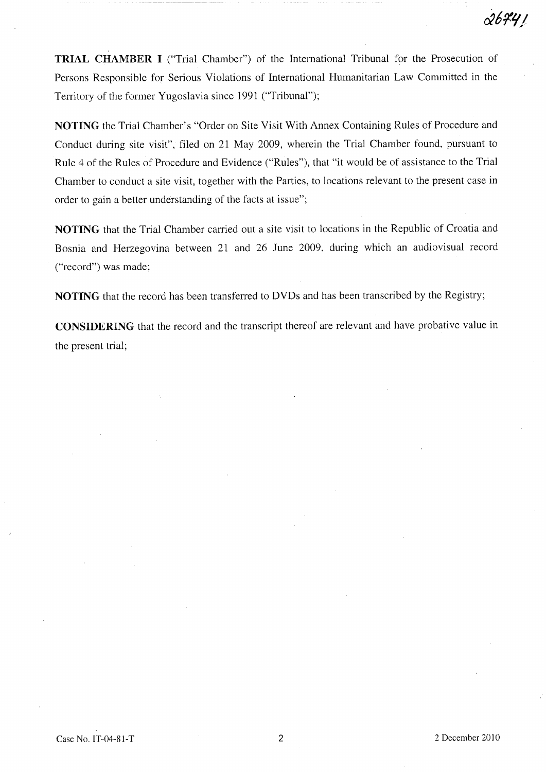2674 I

TRIAL CHAMBER I ("Trial Chamber") of the International Tribunal for the Prosecution of Persons Responsible for Serious Violations of International Humanitarian Law Committed in the Territory of the former Yugoslavia since 1991 ("Tribunal");

NOTING the Trial Chamber's "Order on Site Visit With Annex Containing Rules of Procedure and Conduct during site visit", filed on 21 May 2009, wherein the Trial Chamber found, pursuant to Rule 4 of the Rules of Procedure and Evidence ("Rules"), that "it would be of assistance to the Trial Chamber to conduct a site visit, together with the Parties, to locations relevant to the present case in order to gain a better understanding of the facts at issue";

NOTING that the Trial Chamber carried out a site visit to locations in the Republic of Croatia and Bosnia and Herzegovina between 21 and 26 June 2009, during which an audiovisual record ("record") was made;

NOTING that the record has been transferred to DVDs and has been transcribed by the Registry;

CONSIDERING that the record and the transcript thereof are relevant and have probative value in the present trial;